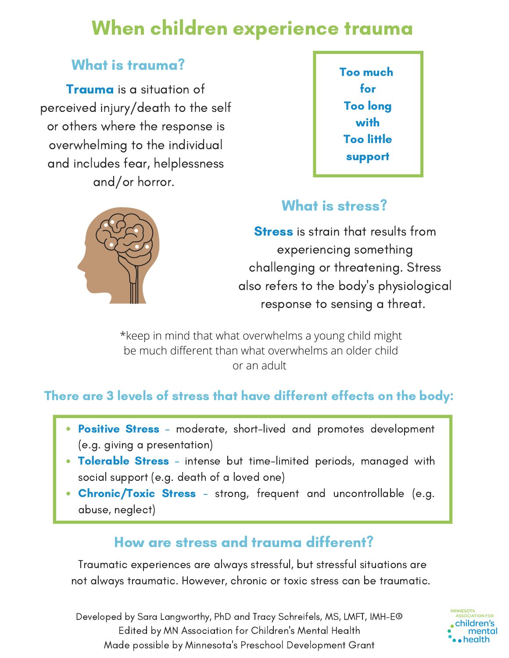# When children experience trauma

## What is trauma?

Trauma is a situation of perceived injury/death to the self or others where the response is overwhelming to the individual and includes fear, helplessness and/or horror.





## What is stress?

**Stress** is strain that results from experiencing something challenging or threatening. Stress also refers to the body's physiological response to sensing a threat.

\*keep in mind that what overwhelms a young child might be much different than what overwhelms an older child or an adult

### There are 3 levels of stress that have different effects on the body:

- Positive Stress moderate, short-lived and promotes development (e.g. giving a presentation)
- Tolerable Stress intense but time-limited periods, managed with social support (e.g. death of a loved one)
- Chronic/Toxic Stress strong, frequent and uncontrollable (e.g. abuse, neglect)

## How are stress and trauma different?

Traumatic experiences are always stressful, but stressful situations are not always traumatic. However, chronic or toxic stress can be traumatic.

Developed by Sara Langworthy, PhD and Tracy Schreifels, MS, LMFT, IMH-E® Edited by MN Association for Children's Mental Health Made possible by Minnesota's Preschool Development Grant

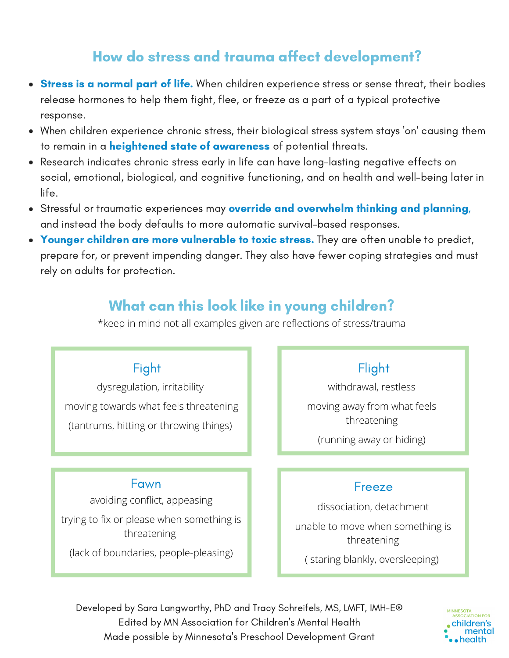## How do stress and trauma affect development?

- **Stress is a normal part of life.** When children experience stress or sense threat, their bodies release hormones to help them fight, flee, or freeze as a part of a typical protective response.
- When children experience chronic stress, their biological stress system stays 'on' causing them to remain in a **heightened state of awareness** of potential threats.
- Research indicates chronic stress early in life can have long-lasting negative effects on social, emotional, biological, and cognitive functioning, and on health and well-being later in life.
- **Stressful or traumatic experiences may override and overwhelm thinking and planning,** and instead the body defaults to more automatic survival-based responses.
- Younger children are more vulnerable to toxic stress. They are often unable to predict, prepare for, or prevent impending danger. They also have fewer coping strategies and must rely on adults for protection.

## What can this look like in young children?

\*keep in mind not all examples given are reflections of stress/trauma

#### Fight

dysregulation, irritability moving towards what feels threatening (tantrums, hitting or throwing things)

#### Fawn

avoiding conflict, appeasing trying to fix or please when something is threatening (lack of boundaries, people-pleasing)

### Flight

withdrawal, restless

moving away from what feels threatening

(running away or hiding)

#### Freeze

dissociation, detachment unable to move when something is threatening

( staring blankly, oversleeping)

Developed by Sara Langworthy, PhD and Tracy Schreifels, MS, LMFT, IMH-E® Edited by MN Association for Children's Mental Health Made possible by Minnesota's Preschool Development Grant